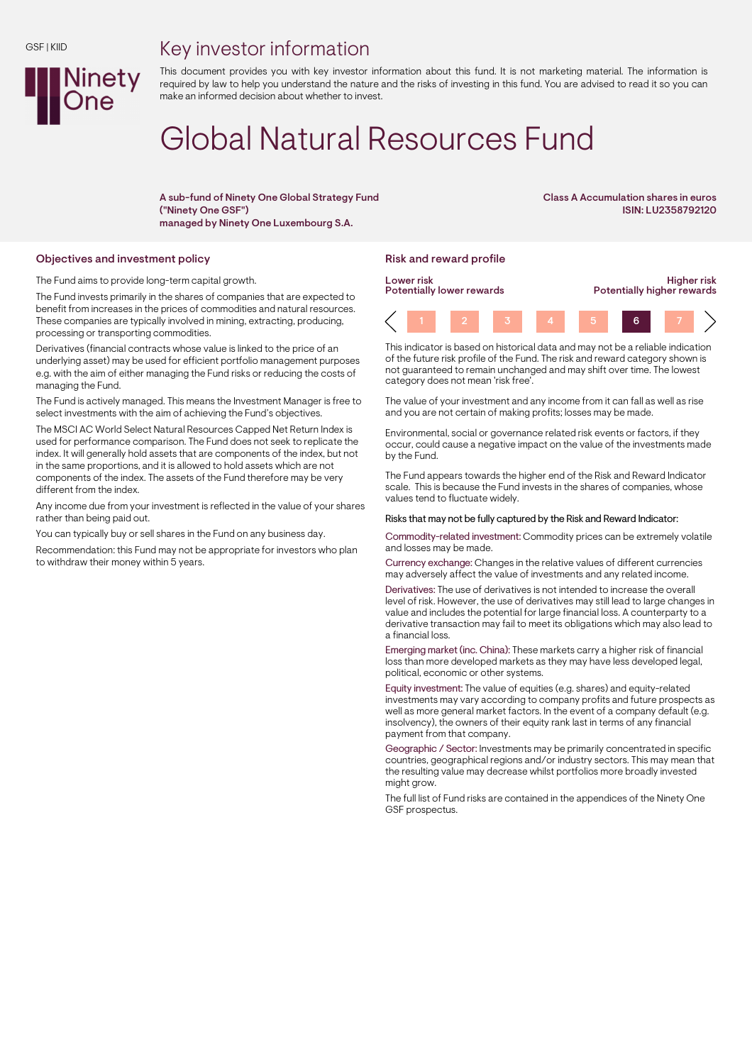## Key investor information



This document provides you with key investor information about this fund. It is not marketing material. The information is required by law to help you understand the nature and the risks of investing in this fund. You are advised to read it so you can make an informed decision about whether to invest.

# Global Natural Resources Fund

A sub-fund of Ninety One Global Strategy Fund ("Ninety One GSF") managed by Ninety One Luxembourg S.A.

Class A Accumulation shares in euros ISIN: LU2358792120

### Objectives and investment policy **Risk and reward profile** Risk and reward profile

The Fund aims to provide long-term capital growth.

The Fund invests primarily in the shares of companies that are expected to benefit from increases in the prices of commodities and natural resources. These companies are typically involved in mining, extracting, producing, processing or transporting commodities.

Derivatives (financial contracts whose value is linked to the price of an underlying asset) may be used for efficient portfolio management purposes e.g. with the aim of either managing the Fund risks or reducing the costs of managing the Fund.

The Fund is actively managed. This means the Investment Manager is free to select investments with the aim of achieving the Fund's objectives.

The MSCI AC World Select Natural Resources Capped Net Return Index is used for performance comparison. The Fund does not seek to replicate the index. It will generally hold assets that are components of the index, but not in the same proportions, and it is allowed to hold assets which are not components of the index. The assets of the Fund therefore may be very different from the index.

Any income due from your investment is reflected in the value of your shares rather than being paid out.

You can typically buy or sell shares in the Fund on any business day.

Recommendation: this Fund may not be appropriate for investors who plan to withdraw their money within 5 years.



This indicator is based on historical data and may not be a reliable indication of the future risk profile of the Fund. The risk and reward category shown is not guaranteed to remain unchanged and may shift over time. The lowest category does not mean 'risk free'.

The value of your investment and any income from it can fall as well as rise and you are not certain of making profits; losses may be made.

Environmental, social or governance related risk events or factors, if they occur, could cause a negative impact on the value of the investments made by the Fund.

The Fund appears towards the higher end of the Risk and Reward Indicator scale. This is because the Fund invests in the shares of companies, whose values tend to fluctuate widely.

### Risks that may not be fully captured by the Risk and Reward Indicator:

Commodity-related investment: Commodity prices can be extremely volatile and losses may be made.

Currency exchange: Changes in the relative values of different currencies may adversely affect the value of investments and any related income.

Derivatives: The use of derivatives is not intended to increase the overall level of risk. However, the use of derivatives may still lead to large changes in value and includes the potential for large financial loss. A counterparty to a derivative transaction may fail to meet its obligations which may also lead to a financial loss.

Emerging market (inc. China): These markets carry a higher risk of financial loss than more developed markets as they may have less developed legal, political, economic or other systems.

Equity investment: The value of equities (e.g. shares) and equity-related investments may vary according to company profits and future prospects as well as more general market factors. In the event of a company default (e.g. insolvency), the owners of their equity rank last in terms of any financial payment from that company.

Geographic / Sector: Investments may be primarily concentrated in specific countries, geographical regions and/or industry sectors. This may mean that the resulting value may decrease whilst portfolios more broadly invested might grow.

The full list of Fund risks are contained in the appendices of the Ninety One GSF prospectus.